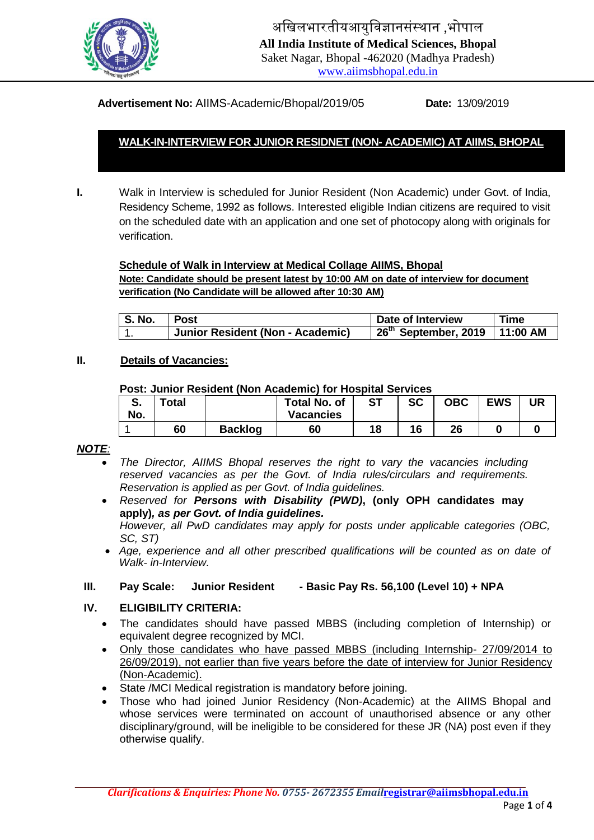

अखिलभारतीयआयुखिज्ञानसंस्थान ,भोपाल **All India Institute of Medical Sciences, Bhopal** Saket Nagar, Bhopal -462020 (Madhya Pradesh) [www.aiimsbhopal.edu.in](http://www.aiimsbhopal.edu.in/)

**Advertisement No:** AIIMS-Academic/Bhopal/2019/05 **Date:** 13/09/2019

# **WALK-IN-INTERVIEW FOR JUNIOR RESIDNET (NON- ACADEMIC) AT AIIMS, BHOPAL**

**I.** Walk in Interview is scheduled for Junior Resident (Non Academic) under Govt. of India, Residency Scheme, 1992 as follows. Interested eligible Indian citizens are required to visit on the scheduled date with an application and one set of photocopy along with originals for verification.

#### **Schedule of Walk in Interview at Medical Collage AIIMS, Bhopal**

**Note: Candidate should be present latest by 10:00 AM on date of interview for document verification (No Candidate will be allowed after 10:30 AM)**

| $\mid$ S. No. | l Post                           | Date of Interview                           | <b>Time</b> |  |
|---------------|----------------------------------|---------------------------------------------|-------------|--|
| . .           | Junior Resident (Non - Academic) | 26 <sup>th</sup> September, 2019   11:00 AM |             |  |

#### **II. Details of Vacancies:**

### **Post: Junior Resident (Non Academic) for Hospital Services**

| ⌒<br>o.<br>No. | Total |                | <b>Total No. of</b><br><b>Vacancies</b> | <b>ST</b> | <b>SC</b> | <b>OBC</b> | <b>EWS</b> | UR |
|----------------|-------|----------------|-----------------------------------------|-----------|-----------|------------|------------|----|
|                | 60    | <b>Backlog</b> | 60                                      | 18        | 16        | 26         |            |    |

### *NOTE:*

- *The Director, AIIMS Bhopal reserves the right to vary the vacancies including reserved vacancies as per the Govt. of India rules/circulars and requirements. Reservation is applied as per Govt. of India guidelines.*
- *Reserved for Persons with Disability (PWD)***, (only OPH candidates may apply)***, as per Govt. of India guidelines.*

*However, all PwD candidates may apply for posts under applicable categories (OBC, SC, ST)*

 *Age, experience and all other prescribed qualifications will be counted as on date of Walk- in-Interview.*

### **III. Pay Scale: Junior Resident - Basic Pay Rs. 56,100 (Level 10) + NPA**

### **IV. ELIGIBILITY CRITERIA:**

- The candidates should have passed MBBS (including completion of Internship) or equivalent degree recognized by MCI.
- Only those candidates who have passed MBBS (including Internship- 27/09/2014 to 26/09/2019), not earlier than five years before the date of interview for Junior Residency (Non-Academic).
- State /MCI Medical registration is mandatory before joining.
- Those who had joined Junior Residency (Non-Academic) at the AIIMS Bhopal and whose services were terminated on account of unauthorised absence or any other disciplinary/ground, will be ineligible to be considered for these JR (NA) post even if they otherwise qualify.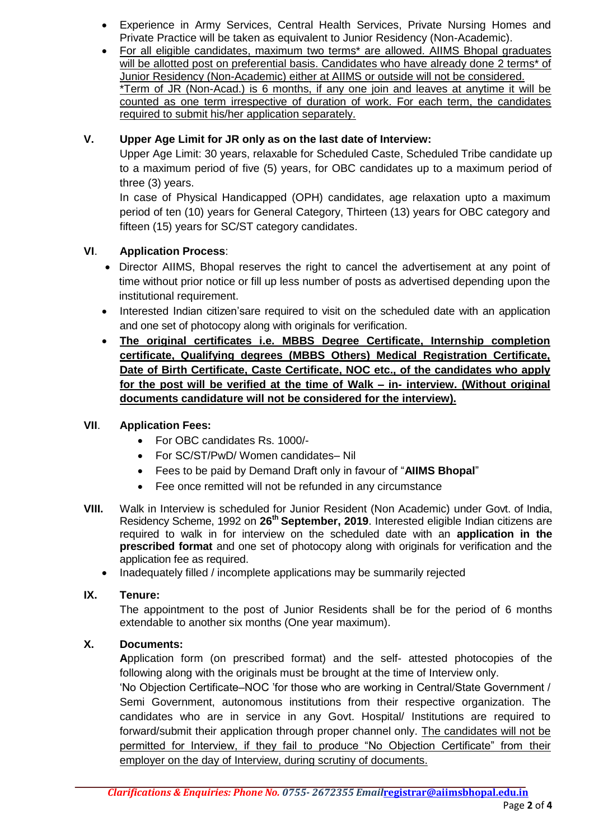- Experience in Army Services, Central Health Services, Private Nursing Homes and Private Practice will be taken as equivalent to Junior Residency (Non-Academic).
- For all eligible candidates, maximum two terms\* are allowed. AIIMS Bhopal graduates will be allotted post on preferential basis. Candidates who have already done 2 terms<sup>\*</sup> of Junior Residency (Non-Academic) either at AIIMS or outside will not be considered. \*Term of JR (Non-Acad.) is 6 months, if any one join and leaves at anytime it will be counted as one term irrespective of duration of work. For each term, the candidates required to submit his/her application separately.

## **V. Upper Age Limit for JR only as on the last date of Interview:**

Upper Age Limit: 30 years, relaxable for Scheduled Caste, Scheduled Tribe candidate up to a maximum period of five (5) years, for OBC candidates up to a maximum period of three (3) years.

In case of Physical Handicapped (OPH) candidates, age relaxation upto a maximum period of ten (10) years for General Category, Thirteen (13) years for OBC category and fifteen (15) years for SC/ST category candidates.

# **VI**. **Application Process**:

- Director AIIMS, Bhopal reserves the right to cancel the advertisement at any point of time without prior notice or fill up less number of posts as advertised depending upon the institutional requirement.
- Interested Indian citizen'sare required to visit on the scheduled date with an application and one set of photocopy along with originals for verification.
- **The original certificates i.e. MBBS Degree Certificate, Internship completion certificate, Qualifying degrees (MBBS Others) Medical Registration Certificate, Date of Birth Certificate, Caste Certificate, NOC etc., of the candidates who apply for the post will be verified at the time of Walk – in- interview. (Without original documents candidature will not be considered for the interview).**

## **VII**. **Application Fees:**

- For OBC candidates Rs. 1000/-
- For SC/ST/PwD/ Women candidates– Nil
- Fees to be paid by Demand Draft only in favour of "**AIIMS Bhopal**"
- Fee once remitted will not be refunded in any circumstance
- **VIII.** Walk in Interview is scheduled for Junior Resident (Non Academic) under Govt. of India, Residency Scheme, 1992 on **26th September, 2019**. Interested eligible Indian citizens are required to walk in for interview on the scheduled date with an **application in the prescribed format** and one set of photocopy along with originals for verification and the application fee as required.
	- Inadequately filled / incomplete applications may be summarily rejected

## **IX. Tenure:**

The appointment to the post of Junior Residents shall be for the period of 6 months extendable to another six months (One year maximum).

## **X. Documents:**

**A**pplication form (on prescribed format) and the self- attested photocopies of the following along with the originals must be brought at the time of Interview only.

'No Objection Certificate–NOC 'for those who are working in Central/State Government / Semi Government, autonomous institutions from their respective organization. The candidates who are in service in any Govt. Hospital/ Institutions are required to forward/submit their application through proper channel only. The candidates will not be permitted for Interview, if they fail to produce "No Objection Certificate" from their employer on the day of Interview, during scrutiny of documents.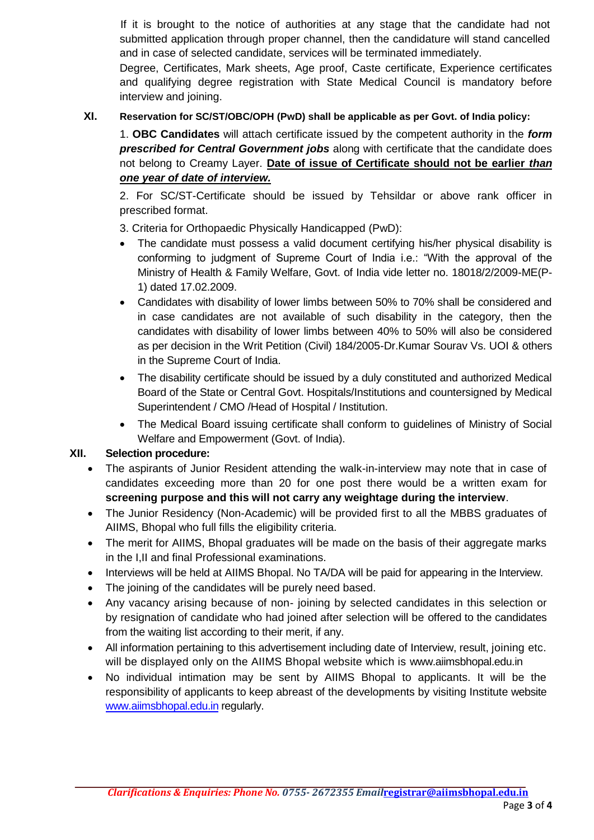If it is brought to the notice of authorities at any stage that the candidate had not submitted application through proper channel, then the candidature will stand cancelled and in case of selected candidate, services will be terminated immediately.

Degree, Certificates, Mark sheets, Age proof, Caste certificate, Experience certificates and qualifying degree registration with State Medical Council is mandatory before interview and joining.

## **XI. Reservation for SC/ST/OBC/OPH (PwD) shall be applicable as per Govt. of India policy:**

1. **OBC Candidates** will attach certificate issued by the competent authority in the *form prescribed for Central Government jobs* along with certificate that the candidate does not belong to Creamy Layer. **Date of issue of Certificate should not be earlier** *than one year of date of interview.* 

2. For SC/ST-Certificate should be issued by Tehsildar or above rank officer in prescribed format.

3. Criteria for Orthopaedic Physically Handicapped (PwD):

- The candidate must possess a valid document certifying his/her physical disability is conforming to judgment of Supreme Court of India i.e.: "With the approval of the Ministry of Health & Family Welfare, Govt. of India vide letter no. 18018/2/2009-ME(P-1) dated 17.02.2009.
- Candidates with disability of lower limbs between 50% to 70% shall be considered and in case candidates are not available of such disability in the category, then the candidates with disability of lower limbs between 40% to 50% will also be considered as per decision in the Writ Petition (Civil) 184/2005-Dr.Kumar Sourav Vs. UOI & others in the Supreme Court of India.
- The disability certificate should be issued by a duly constituted and authorized Medical Board of the State or Central Govt. Hospitals/Institutions and countersigned by Medical Superintendent / CMO /Head of Hospital / Institution.
- The Medical Board issuing certificate shall conform to guidelines of Ministry of Social Welfare and Empowerment (Govt. of India).

## **XII. Selection procedure:**

- The aspirants of Junior Resident attending the walk-in-interview may note that in case of candidates exceeding more than 20 for one post there would be a written exam for **screening purpose and this will not carry any weightage during the interview**.
- The Junior Residency (Non-Academic) will be provided first to all the MBBS graduates of AIIMS, Bhopal who full fills the eligibility criteria.
- The merit for AIIMS, Bhopal graduates will be made on the basis of their aggregate marks in the I,II and final Professional examinations.
- Interviews will be held at AIIMS Bhopal. No TA/DA will be paid for appearing in the Interview.
- The joining of the candidates will be purely need based.
- Any vacancy arising because of non- joining by selected candidates in this selection or by resignation of candidate who had joined after selection will be offered to the candidates from the waiting list according to their merit, if any.
- All information pertaining to this advertisement including date of Interview, result, joining etc. will be displayed only on the AIIMS Bhopal website which is [www.aiimsbhopal.edu.in](http://www.aiimsbhopal.edu.in/)
- No individual intimation may be sent by AIIMS Bhopal to applicants. It will be the responsibility of applicants to keep abreast of the developments by visiting Institute website [www.aiimsbhopal.edu.in](http://www.aiimsbhopal.edu.in/) regularly.